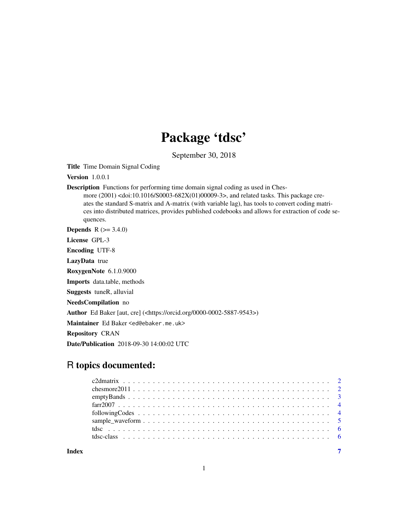## Package 'tdsc'

September 30, 2018

Title Time Domain Signal Coding

**Version** 1.0.0.1

Description Functions for performing time domain signal coding as used in Ches-

more (2001) <doi:10.1016/S0003-682X(01)00009-3>, and related tasks. This package creates the standard S-matrix and A-matrix (with variable lag), has tools to convert coding matrices into distributed matrices, provides published codebooks and allows for extraction of code sequences.

**Depends** R  $(>= 3.4.0)$ 

License GPL-3

Encoding UTF-8

LazyData true

RoxygenNote 6.1.0.9000

Imports data.table, methods

Suggests tuneR, alluvial

NeedsCompilation no

Author Ed Baker [aut, cre] (<https://orcid.org/0000-0002-5887-9543>)

Maintainer Ed Baker <ed@ebaker.me.uk>

Repository CRAN

Date/Publication 2018-09-30 14:00:02 UTC

## R topics documented:

**Index** [7](#page-6-0) **7**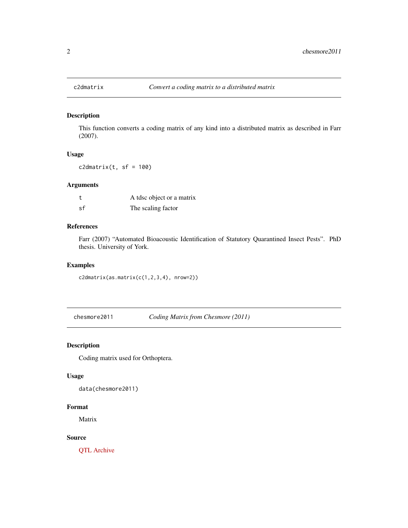<span id="page-1-0"></span>

## Description

This function converts a coding matrix of any kind into a distributed matrix as described in Farr (2007).

### Usage

 $c2$ dmatrix(t, sf = 100)

## Arguments

| t  | A tdsc object or a matrix |
|----|---------------------------|
| sf | The scaling factor        |

## References

Farr (2007) "Automated Bioacoustic Identification of Statutory Quarantined Insect Pests". PhD thesis. University of York.

#### Examples

c2dmatrix(as.matrix(c(1,2,3,4), nrow=2))

chesmore2011 *Coding Matrix from Chesmore (2011)*

#### Description

Coding matrix used for Orthoptera.

#### Usage

data(chesmore2011)

## Format

Matrix

#### Source

[QTL Archive](https://phenome.jax.org/projects/Moore1b)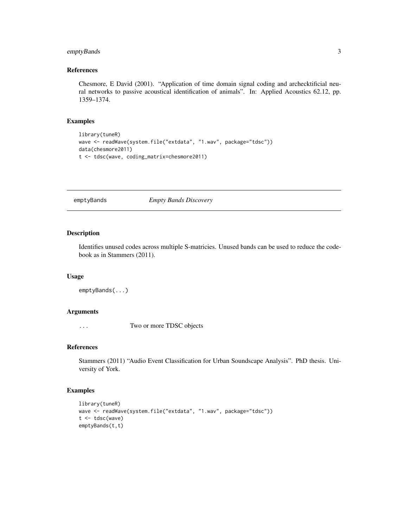## <span id="page-2-0"></span>emptyBands 3

#### References

Chesmore, E David (2001). "Application of time domain signal coding and archecktificial neural networks to passive acoustical identification of animals". In: Applied Acoustics 62.12, pp. 1359–1374.

#### Examples

```
library(tuneR)
wave <- readWave(system.file("extdata", "1.wav", package="tdsc"))
data(chesmore2011)
t <- tdsc(wave, coding_matrix=chesmore2011)
```
emptyBands *Empty Bands Discovery*

#### Description

Identifies unused codes across multiple S-matricies. Unused bands can be used to reduce the codebook as in Stammers (2011).

#### Usage

```
emptyBands(...)
```
## Arguments

... Two or more TDSC objects

#### References

Stammers (2011) "Audio Event Classification for Urban Soundscape Analysis". PhD thesis. University of York.

#### Examples

```
library(tuneR)
wave <- readWave(system.file("extdata", "1.wav", package="tdsc"))
t <- tdsc(wave)
emptyBands(t,t)
```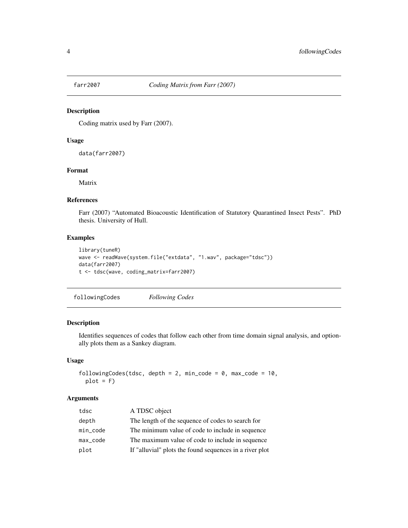<span id="page-3-0"></span>

#### Description

Coding matrix used by Farr (2007).

#### Usage

data(farr2007)

#### Format

Matrix

#### References

Farr (2007) "Automated Bioacoustic Identification of Statutory Quarantined Insect Pests". PhD thesis. University of Hull.

## Examples

```
library(tuneR)
wave <- readWave(system.file("extdata", "1.wav", package="tdsc"))
data(farr2007)
t <- tdsc(wave, coding_matrix=farr2007)
```
followingCodes *Following Codes*

## Description

Identifies sequences of codes that follow each other from time domain signal analysis, and optionally plots them as a Sankey diagram.

#### Usage

```
followingCodes(tdsc, depth = 2, min_code = 0, max_code = 10,
 plot = F
```
## Arguments

| tdsc        | A TDSC object                                           |
|-------------|---------------------------------------------------------|
| depth       | The length of the sequence of codes to search for       |
| $min\_code$ | The minimum value of code to include in sequence        |
| max_code    | The maximum value of code to include in sequence        |
| plot        | If "alluvial" plots the found sequences in a river plot |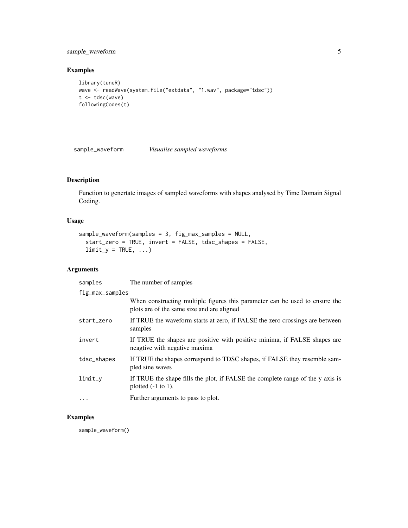## <span id="page-4-0"></span>sample\_waveform 5

#### Examples

```
library(tuneR)
wave <- readWave(system.file("extdata", "1.wav", package="tdsc"))
t <- tdsc(wave)
followingCodes(t)
```
sample\_waveform *Visualise sampled waveforms*

## Description

Function to genertate images of sampled waveforms with shapes analysed by Time Domain Signal Coding.

## Usage

```
sample_waveform(samples = 3, fig_max_samples = NULL,
 start_zero = TRUE, invert = FALSE, tdsc_shapes = FALSE,
 limit_y = TRUE, ...
```
## Arguments

| samples         | The number of samples                                                                                                     |
|-----------------|---------------------------------------------------------------------------------------------------------------------------|
| fig_max_samples |                                                                                                                           |
|                 | When constructing multiple figures this parameter can be used to ensure the<br>plots are of the same size and are aligned |
| start_zero      | If TRUE the waveform starts at zero, if FALSE the zero crossings are between<br>samples                                   |
| invert          | If TRUE the shapes are positive with positive minima, if FALSE shapes are<br>neagtive with negative maxima                |
| tdsc_shapes     | If TRUE the shapes correspond to TDSC shapes, if FALSE they resemble sam-<br>pled sine waves                              |
| $limit_v$       | If TRUE the shape fills the plot, if FALSE the complete range of the y axis is<br>plotted $(-1)$ to 1.                    |
| $\cdots$        | Further arguments to pass to plot.                                                                                        |
|                 |                                                                                                                           |

## Examples

sample\_waveform()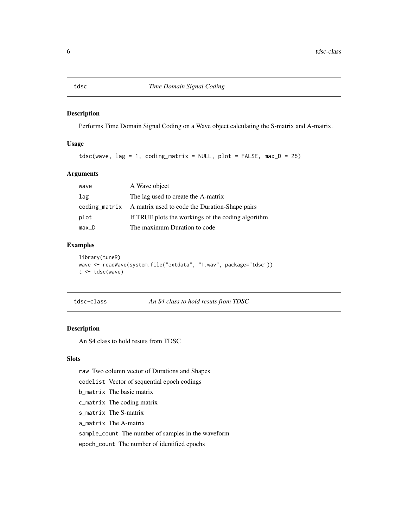#### Description

Performs Time Domain Signal Coding on a Wave object calculating the S-matrix and A-matrix.

#### Usage

 $tdsc(wave, lag = 1, coding_matrix = NULL, plot = FALSE, max_D = 25)$ 

## Arguments

| wave    | A Wave object                                                |
|---------|--------------------------------------------------------------|
| lag     | The lag used to create the A-matrix                          |
|         | coding_matrix A matrix used to code the Duration-Shape pairs |
| plot    | If TRUE plots the workings of the coding algorithm           |
| $max_D$ | The maximum Duration to code                                 |

## Examples

```
library(tuneR)
wave <- readWave(system.file("extdata", "1.wav", package="tdsc"))
t <- tdsc(wave)
```
tdsc-class *An S4 class to hold resuts from TDSC*

#### Description

An S4 class to hold resuts from TDSC

#### Slots

raw Two column vector of Durations and Shapes

codelist Vector of sequential epoch codings

b\_matrix The basic matrix

c\_matrix The coding matrix

s\_matrix The S-matrix

a\_matrix The A-matrix

sample\_count The number of samples in the waveform

epoch\_count The number of identified epochs

<span id="page-5-0"></span>